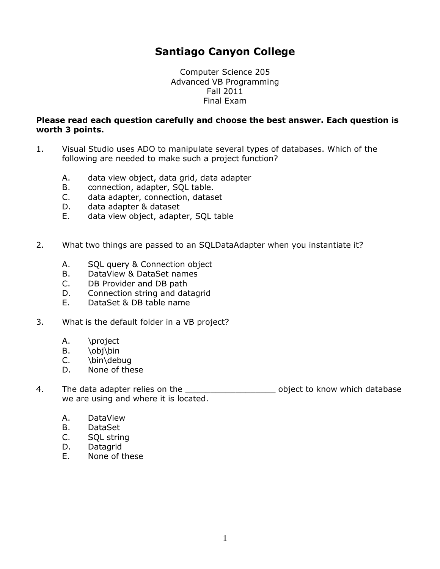# **Santiago Canyon College**

Computer Science 205 Advanced VB Programming Fall 2011 Final Exam

#### **Please read each question carefully and choose the best answer. Each question is worth 3 points.**

- 1. Visual Studio uses ADO to manipulate several types of databases. Which of the following are needed to make such a project function?
	- A. data view object, data grid, data adapter
	- B. connection, adapter, SQL table.
	- C. data adapter, connection, dataset
	- D. data adapter & dataset
	- E. data view object, adapter, SQL table
- 2. What two things are passed to an SQLDataAdapter when you instantiate it?
	- A. SQL query & Connection object
	- B. DataView & DataSet names
	- C. DB Provider and DB path
	- D. Connection string and datagrid
	- E. DataSet & DB table name
- 3. What is the default folder in a VB project?
	- A. \project
	- B. \obj\bin
	- C. \bin\debug
	- D. None of these
- 4. The data adapter relies on the \_\_\_\_\_\_\_\_\_\_\_\_\_\_\_\_\_\_\_\_\_\_\_\_ object to know which database we are using and where it is located.
	- A. DataView
	- B. DataSet
	- C. SQL string
	- D. Datagrid
	- E. None of these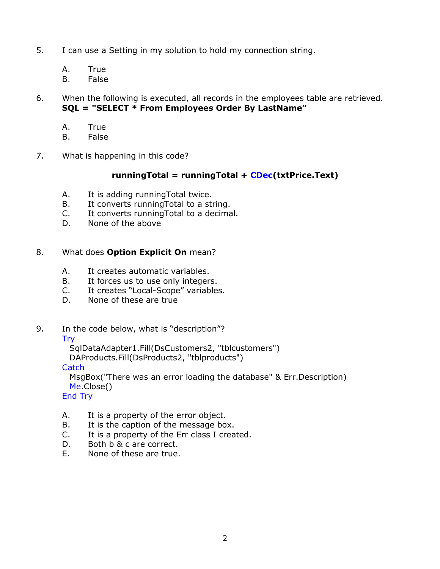- 5. I can use a Setting in my solution to hold my connection string.
	- A. True
	- B. False
- 6. When the following is executed, all records in the employees table are retrieved. **SQL = "SELECT \* From Employees Order By LastName"**
	- A. True
	- B. False
- 7. What is happening in this code?

## **runningTotal = runningTotal + CDec(txtPrice.Text)**

- A. It is adding runningTotal twice.
- B. It converts runningTotal to a string.
- C. It converts runningTotal to a decimal.
- D. None of the above

## 8. What does **Option Explicit On** mean?

- A. It creates automatic variables.
- B. It forces us to use only integers.
- C. It creates "Local-Scope" variables.
- D. None of these are true
- 9. In the code below, what is "description"?
	- Try

SqlDataAdapter1.Fill(DsCustomers2, "tblcustomers")

DAProducts.Fill(DsProducts2, "tblproducts")

**Catch** 

 MsgBox("There was an error loading the database" & Err.Description) Me.Close()

End Try

- A. It is a property of the error object.
- B. It is the caption of the message box.
- C. It is a property of the Err class I created.
- D. Both b & c are correct.
- E. None of these are true.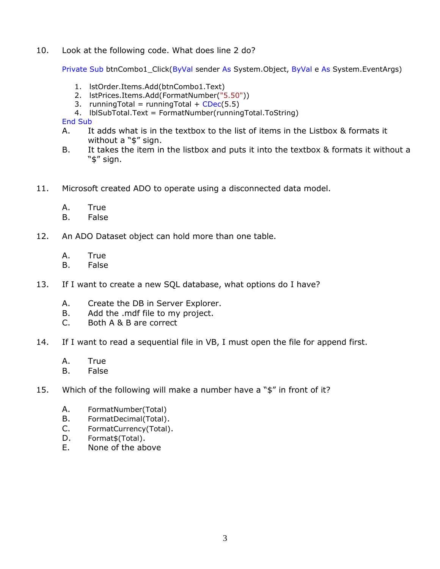10. Look at the following code. What does line 2 do?

Private Sub btnCombo1\_Click(ByVal sender As System.Object, ByVal e As System.EventArgs)

- 1. lstOrder.Items.Add(btnCombo1.Text)
- 2. lstPrices.Items.Add(FormatNumber("5.50"))
- 3. runningTotal = runningTotal +  $CDec(5.5)$
- 4. lblSubTotal.Text = FormatNumber(runningTotal.ToString)

End Sub

- A. It adds what is in the textbox to the list of items in the Listbox & formats it without a "\$" sign.
- B. It takes the item in the listbox and puts it into the textbox & formats it without a "\$" sign.
- 11. Microsoft created ADO to operate using a disconnected data model.
	- A. True
	- B. False
- 12. An ADO Dataset object can hold more than one table.
	- A. True
	- B. False
- 13. If I want to create a new SQL database, what options do I have?
	- A. Create the DB in Server Explorer.
	- B. Add the .mdf file to my project.
	- C. Both A & B are correct
- 14. If I want to read a sequential file in VB, I must open the file for append first.
	- A. True
	- B. False
- 15. Which of the following will make a number have a "\$" in front of it?
	- A. FormatNumber(Total)
	- B. FormatDecimal(Total).
	- C. FormatCurrency(Total).
	- D. Format\$(Total).
	- E. None of the above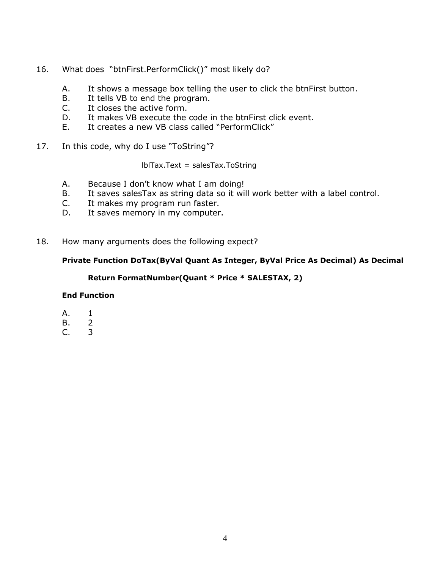- 16. What does "btnFirst.PerformClick()" most likely do?
	- A. It shows a message box telling the user to click the btnFirst button.
	- B. It tells VB to end the program.
	- C. It closes the active form.
	- D. It makes VB execute the code in the btnFirst click event.
	- E. It creates a new VB class called "PerformClick"
- 17. 17. In this code, why do I use "ToString"?

lblTax.Text = salesTax.ToString

- A. Because I don't know what I am doing!
- B. It saves salesTax as string data so it will work better with a label control.
- C. It makes my program run faster.
- D. It saves memory in my computer.
- 18. How many arguments does the following expect?

### **Private Function DoTax(ByVal Quant As Integer, ByVal Price As Decimal) As Decimal**

### **Return FormatNumber(Quant \* Price \* SALESTAX, 2)**

#### **End Function**

- A. 1
- B. 2
- C. 3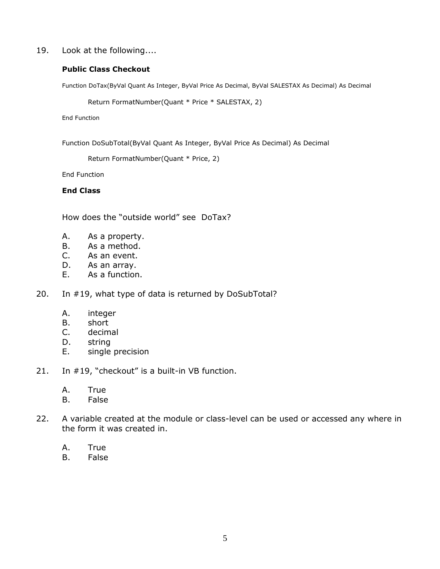19. Look at the following....

#### **Public Class Checkout**

Function DoTax(ByVal Quant As Integer, ByVal Price As Decimal, ByVal SALESTAX As Decimal) As Decimal

```
 Return FormatNumber(Quant * Price * SALESTAX, 2)
```
End Function

Function DoSubTotal(ByVal Quant As Integer, ByVal Price As Decimal) As Decimal

Return FormatNumber(Quant \* Price, 2)

End Function

#### **End Class**

How does the "outside world" see DoTax?

- A. As a property.
- B. As a method.
- C. As an event.
- D. As an array.
- E. As a function.

20. In #19, what type of data is returned by DoSubTotal?

- A. integer
- B. short
- C. decimal
- D. string
- E. single precision
- 21. In #19, "checkout" is a built-in VB function.
	- A. True
	- B. False
- 22. A variable created at the module or class-level can be used or accessed any where in the form it was created in.
	- A. True
	- B. False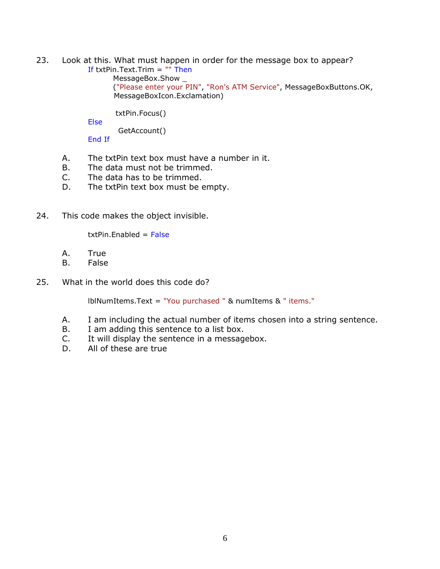- 23. 23. Look at this. What must happen in order for the message box to appear? If txtPin.Text.Trim = "" Then
	- MessageBox.Show \_

 ("Please enter your PIN", "Ron's ATM Service", MessageBoxButtons.OK, MessageBoxIcon.Exclamation)

txtPin.Focus()

Else

GetAccount()

End If

- A. The txtPin text box must have a number in it.
- B. The data must not be trimmed.
- C. The data has to be trimmed.
- D. The txtPin text box must be empty.
- 24. 24. This code makes the object invisible.

 $txtPin.Fnabled = False$ 

- A. True
- B. False
- 25. What in the world does this code do?

lblNumItems.Text = "You purchased " & numItems & " items."

- A. I am including the actual number of items chosen into a string sentence.
- B. I am adding this sentence to a list box.
- C. It will display the sentence in a messagebox.
- D. All of these are true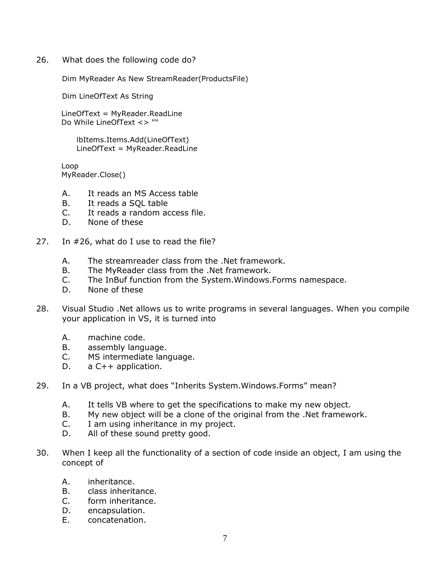26. What does the following code do?

Dim MyReader As New StreamReader(ProductsFile)

Dim LineOfText As String

 LineOfText = MyReader.ReadLine Do While LineOfText <> ""

> lbItems.Items.Add(LineOfText) LineOfText = MyReader.ReadLine

 Loop MyReader.Close()

- A. It reads an MS Access table
- B. It reads a SQL table
- C. It reads a random access file.
- D. None of these
- 27. In #26, what do I use to read the file?
	- A. The streamreader class from the .Net framework.
	- B. The MyReader class from the .Net framework.
	- C. The InBuf function from the System.Windows.Forms namespace.
	- D. None of these
- 28. Visual Studio .Net allows us to write programs in several languages. When you compile your application in VS, it is turned into
	- A. machine code.
	- B. assembly language.
	- C. MS intermediate language.
	- D. a C++ application.
- 29. In a VB project, what does "Inherits System. Windows. Forms" mean?
	- A. It tells VB where to get the specifications to make my new object.
	- B. My new object will be a clone of the original from the .Net framework.
	- C. I am using inheritance in my project.
	- D. All of these sound pretty good.
- 30. When I keep all the functionality of a section of code inside an object, I am using the concept of
	- A. inheritance.
	- B. class inheritance.
	- C. form inheritance.
	- D. encapsulation.
	- E. concatenation.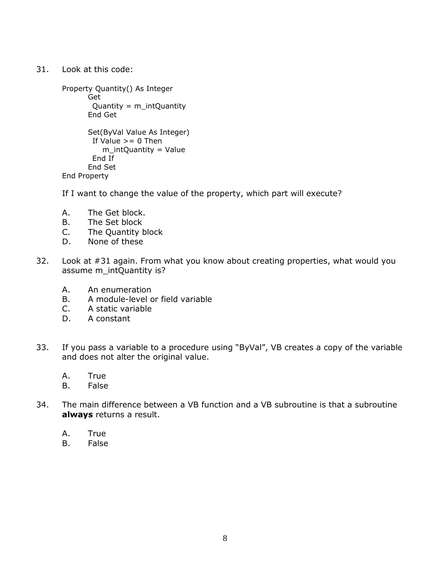31. Look at this code:

```
 Property Quantity() As Integer
       Get
       Quantity = m_{\text{int}}Quantity
       End Get
      Set(ByVal Value As Integer)
       If Value >= 0 Then
           m_intQuantity = Value
        End If
       End Set
End Property
```
If I want to change the value of the property, which part will execute?

- A. The Get block.
- B. The Set block
- C. The Quantity block
- D. None of these
- 32. Look at #31 again. From what you know about creating properties, what would you assume m\_intQuantity is?
	- A. An enumeration
	- B. A module-level or field variable
	- C. A static variable
	- D. A constant
- 33. If you pass a variable to a procedure using "ByVal", VB creates a copy of the variable and does not alter the original value.
	- A. True
	- B. False
- 34. The main difference between a VB function and a VB subroutine is that a subroutine **always** returns a result.
	- A. True
	- B. False